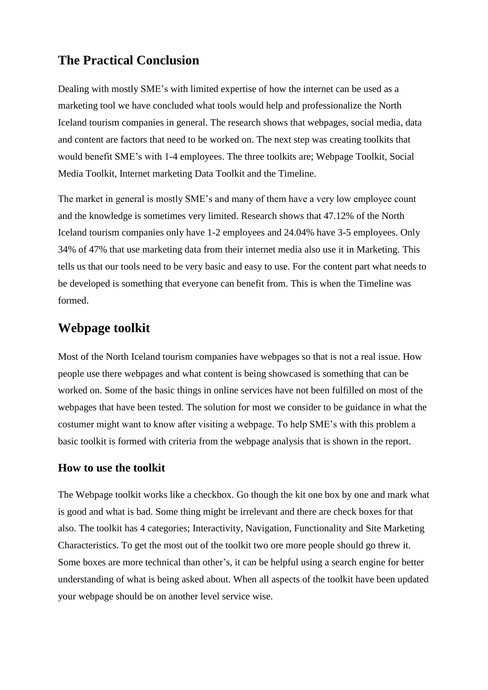# **The Practical Conclusion**

Dealing with mostly SME's with limited expertise of how the internet can be used as a marketing tool we have concluded what tools would help and professionalize the North Iceland tourism companies in general. The research shows that webpages, social media, data and content are factors that need to be worked on. The next step was creating toolkits that would benefit SME's with 1-4 employees. The three toolkits are; Webpage Toolkit, Social Media Toolkit, Internet marketing Data Toolkit and the Timeline.

The market in general is mostly SME's and many of them have a very low employee count and the knowledge is sometimes very limited. Research shows that 47.12% of the North Iceland tourism companies only have 1-2 employees and 24.04% have 3-5 employees. Only 34% of 47% that use marketing data from their internet media also use it in Marketing. This tells us that our tools need to be very basic and easy to use. For the content part what needs to be developed is something that everyone can benefit from. This is when the Timeline was formed.

## **Webpage toolkit**

Most of the North Iceland tourism companies have webpages so that is not a real issue. How people use there webpages and what content is being showcased is something that can be worked on. Some of the basic things in online services have not been fulfilled on most of the webpages that have been tested. The solution for most we consider to be guidance in what the costumer might want to know after visiting a webpage. To help SME's with this problem a basic toolkit is formed with criteria from the webpage analysis that is shown in the report.

### **How to use the toolkit**

The Webpage toolkit works like a checkbox. Go though the kit one box by one and mark what is good and what is bad. Some thing might be irrelevant and there are check boxes for that also. The toolkit has 4 categories; Interactivity, Navigation, Functionality and Site Marketing Characteristics. To get the most out of the toolkit two ore more people should go threw it. Some boxes are more technical than other's, it can be helpful using a search engine for better understanding of what is being asked about. When all aspects of the toolkit have been updated your webpage should be on another level service wise.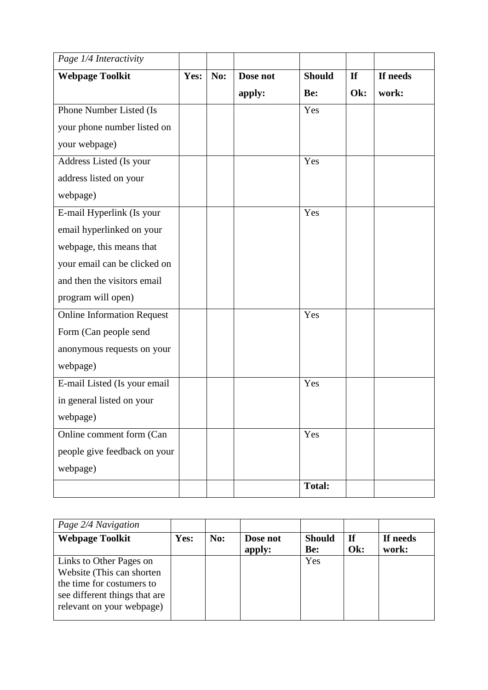| Page 1/4 Interactivity            |      |     |          |               |     |          |
|-----------------------------------|------|-----|----------|---------------|-----|----------|
| <b>Webpage Toolkit</b>            | Yes: | No: | Dose not | <b>Should</b> | If  | If needs |
|                                   |      |     | apply:   | Be:           | Ok: | work:    |
| Phone Number Listed (Is           |      |     |          | Yes           |     |          |
| your phone number listed on       |      |     |          |               |     |          |
| your webpage)                     |      |     |          |               |     |          |
| Address Listed (Is your           |      |     |          | Yes           |     |          |
| address listed on your            |      |     |          |               |     |          |
| webpage)                          |      |     |          |               |     |          |
| E-mail Hyperlink (Is your         |      |     |          | Yes           |     |          |
| email hyperlinked on your         |      |     |          |               |     |          |
| webpage, this means that          |      |     |          |               |     |          |
| your email can be clicked on      |      |     |          |               |     |          |
| and then the visitors email       |      |     |          |               |     |          |
| program will open)                |      |     |          |               |     |          |
| <b>Online Information Request</b> |      |     |          | Yes           |     |          |
| Form (Can people send             |      |     |          |               |     |          |
| anonymous requests on your        |      |     |          |               |     |          |
| webpage)                          |      |     |          |               |     |          |
| E-mail Listed (Is your email      |      |     |          | Yes           |     |          |
| in general listed on your         |      |     |          |               |     |          |
| webpage)                          |      |     |          |               |     |          |
| Online comment form (Can          |      |     |          | Yes           |     |          |
| people give feedback on your      |      |     |          |               |     |          |
| webpage)                          |      |     |          |               |     |          |
|                                   |      |     |          | <b>Total:</b> |     |          |

| Page 2/4 Navigation           |      |     |          |                      |           |                   |
|-------------------------------|------|-----|----------|----------------------|-----------|-------------------|
| <b>Webpage Toolkit</b>        | Yes: | No: | Dose not | <b>Should</b><br>Be: | If<br>Ok: | If needs<br>work: |
|                               |      |     | apply:   |                      |           |                   |
| Links to Other Pages on       |      |     |          | Yes                  |           |                   |
| Website (This can shorten)    |      |     |          |                      |           |                   |
| the time for costumers to     |      |     |          |                      |           |                   |
| see different things that are |      |     |          |                      |           |                   |
| relevant on your webpage)     |      |     |          |                      |           |                   |
|                               |      |     |          |                      |           |                   |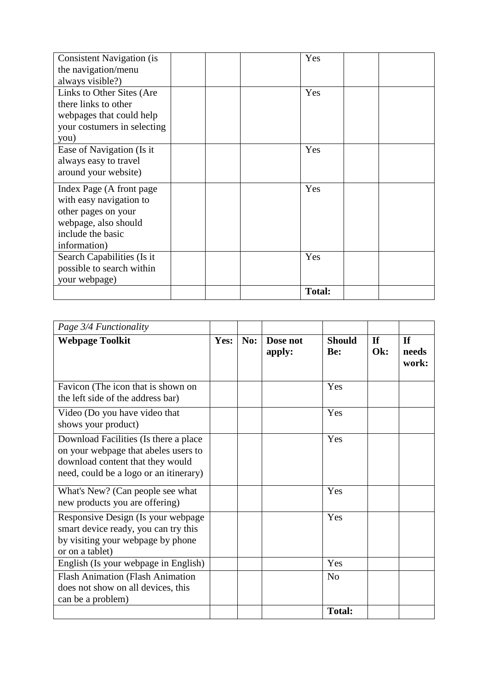| <b>Consistent Navigation (is)</b> |  | Yes           |  |
|-----------------------------------|--|---------------|--|
| the navigation/menu               |  |               |  |
| always visible?)                  |  |               |  |
| Links to Other Sites (Are         |  | Yes           |  |
| there links to other              |  |               |  |
| webpages that could help          |  |               |  |
| your costumers in selecting       |  |               |  |
| you)                              |  |               |  |
| Ease of Navigation (Is it         |  | Yes           |  |
| always easy to travel             |  |               |  |
| around your website)              |  |               |  |
| Index Page (A front page)         |  | Yes           |  |
| with easy navigation to           |  |               |  |
| other pages on your               |  |               |  |
| webpage, also should              |  |               |  |
| include the basic                 |  |               |  |
| information)                      |  |               |  |
| Search Capabilities (Is it        |  | Yes           |  |
| possible to search within         |  |               |  |
| your webpage)                     |  |               |  |
|                                   |  | <b>Total:</b> |  |

| Page 3/4 Functionality                                                                                                                                      |      |     |                    |                      |                  |                             |
|-------------------------------------------------------------------------------------------------------------------------------------------------------------|------|-----|--------------------|----------------------|------------------|-----------------------------|
| <b>Webpage Toolkit</b>                                                                                                                                      | Yes: | No: | Dose not<br>apply: | <b>Should</b><br>Be: | $\bf{If}$<br>Ok: | <b>If</b><br>needs<br>work: |
| Favicon (The icon that is shown on<br>the left side of the address bar)                                                                                     |      |     |                    | Yes                  |                  |                             |
| Video (Do you have video that<br>shows your product)                                                                                                        |      |     |                    | Yes                  |                  |                             |
| Download Facilities (Is there a place<br>on your webpage that abeles users to<br>download content that they would<br>need, could be a logo or an itinerary) |      |     |                    | Yes                  |                  |                             |
| What's New? (Can people see what<br>new products you are offering)                                                                                          |      |     |                    | Yes                  |                  |                             |
| Responsive Design (Is your webpage<br>smart device ready, you can try this<br>by visiting your webpage by phone<br>or on a tablet)                          |      |     |                    | Yes                  |                  |                             |
| English (Is your webpage in English)                                                                                                                        |      |     |                    | Yes                  |                  |                             |
| <b>Flash Animation (Flash Animation</b><br>does not show on all devices, this<br>can be a problem)                                                          |      |     |                    | N <sub>o</sub>       |                  |                             |
|                                                                                                                                                             |      |     |                    | <b>Total:</b>        |                  |                             |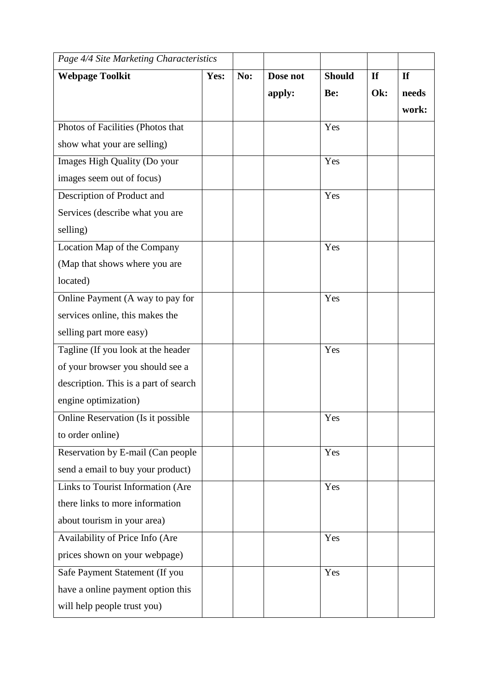| Page 4/4 Site Marketing Characteristics |      |     |          |               |           |       |
|-----------------------------------------|------|-----|----------|---------------|-----------|-------|
| <b>Webpage Toolkit</b>                  | Yes: | No: | Dose not | <b>Should</b> | <b>If</b> | If    |
|                                         |      |     | apply:   | Be:           | Ok:       | needs |
|                                         |      |     |          |               |           | work: |
| Photos of Facilities (Photos that       |      |     |          | Yes           |           |       |
| show what your are selling)             |      |     |          |               |           |       |
| Images High Quality (Do your            |      |     |          | Yes           |           |       |
| images seem out of focus)               |      |     |          |               |           |       |
| Description of Product and              |      |     |          | Yes           |           |       |
| Services (describe what you are         |      |     |          |               |           |       |
| selling)                                |      |     |          |               |           |       |
| Location Map of the Company             |      |     |          | Yes           |           |       |
| (Map that shows where you are           |      |     |          |               |           |       |
| located)                                |      |     |          |               |           |       |
| Online Payment (A way to pay for        |      |     |          | Yes           |           |       |
| services online, this makes the         |      |     |          |               |           |       |
| selling part more easy)                 |      |     |          |               |           |       |
| Tagline (If you look at the header      |      |     |          | Yes           |           |       |
| of your browser you should see a        |      |     |          |               |           |       |
| description. This is a part of search   |      |     |          |               |           |       |
| engine optimization)                    |      |     |          |               |           |       |
| Online Reservation (Is it possible      |      |     |          | Yes           |           |       |
| to order online)                        |      |     |          |               |           |       |
| Reservation by E-mail (Can people       |      |     |          | Yes           |           |       |
| send a email to buy your product)       |      |     |          |               |           |       |
| Links to Tourist Information (Are       |      |     |          | Yes           |           |       |
| there links to more information         |      |     |          |               |           |       |
| about tourism in your area)             |      |     |          |               |           |       |
| Availability of Price Info (Are         |      |     |          | Yes           |           |       |
| prices shown on your webpage)           |      |     |          |               |           |       |
| Safe Payment Statement (If you          |      |     |          | Yes           |           |       |
| have a online payment option this       |      |     |          |               |           |       |
| will help people trust you)             |      |     |          |               |           |       |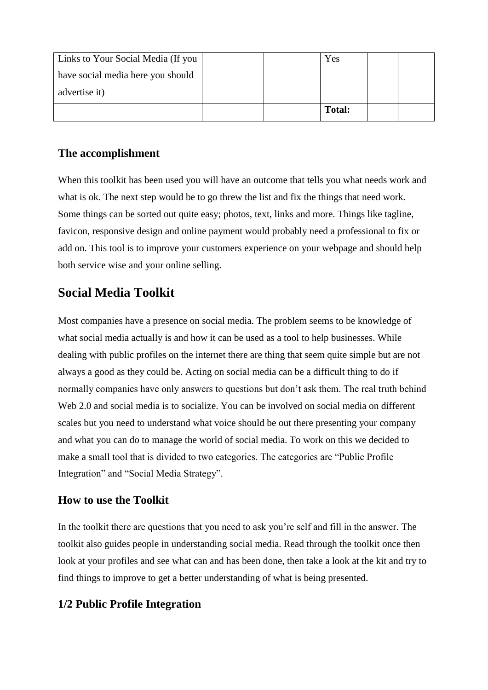| Links to Your Social Media (If you |  | Yes           |  |
|------------------------------------|--|---------------|--|
| have social media here you should  |  |               |  |
| advertise it)                      |  |               |  |
|                                    |  | <b>Total:</b> |  |

## **The accomplishment**

When this toolkit has been used you will have an outcome that tells you what needs work and what is ok. The next step would be to go threw the list and fix the things that need work. Some things can be sorted out quite easy; photos, text, links and more. Things like tagline, favicon, responsive design and online payment would probably need a professional to fix or add on. This tool is to improve your customers experience on your webpage and should help both service wise and your online selling.

# **Social Media Toolkit**

Most companies have a presence on social media. The problem seems to be knowledge of what social media actually is and how it can be used as a tool to help businesses. While dealing with public profiles on the internet there are thing that seem quite simple but are not always a good as they could be. Acting on social media can be a difficult thing to do if normally companies have only answers to questions but don't ask them. The real truth behind Web 2.0 and social media is to socialize. You can be involved on social media on different scales but you need to understand what voice should be out there presenting your company and what you can do to manage the world of social media. To work on this we decided to make a small tool that is divided to two categories. The categories are "Public Profile Integration" and "Social Media Strategy".

### **How to use the Toolkit**

In the toolkit there are questions that you need to ask you're self and fill in the answer. The toolkit also guides people in understanding social media. Read through the toolkit once then look at your profiles and see what can and has been done, then take a look at the kit and try to find things to improve to get a better understanding of what is being presented.

## **1/2 Public Profile Integration**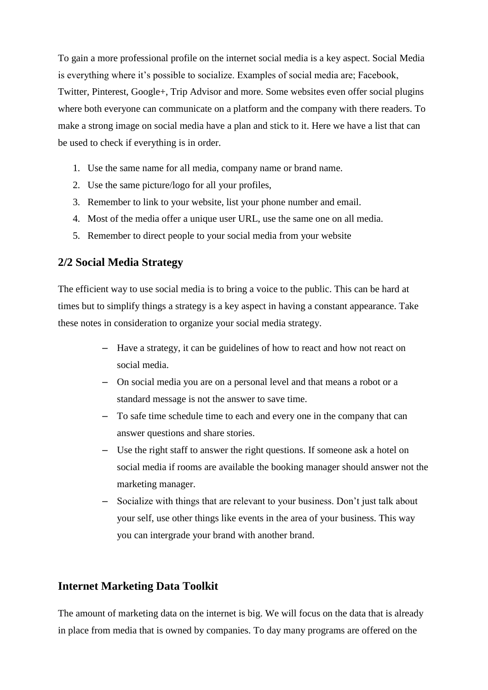To gain a more professional profile on the internet social media is a key aspect. Social Media is everything where it's possible to socialize. Examples of social media are; Facebook, Twitter, Pinterest, Google+, Trip Advisor and more. Some websites even offer social plugins where both everyone can communicate on a platform and the company with there readers. To make a strong image on social media have a plan and stick to it. Here we have a list that can be used to check if everything is in order.

- 1. Use the same name for all media, company name or brand name.
- 2. Use the same picture/logo for all your profiles,
- 3. Remember to link to your website, list your phone number and email.
- 4. Most of the media offer a unique user URL, use the same one on all media.
- 5. Remember to direct people to your social media from your website

### **2/2 Social Media Strategy**

The efficient way to use social media is to bring a voice to the public. This can be hard at times but to simplify things a strategy is a key aspect in having a constant appearance. Take these notes in consideration to organize your social media strategy.

- Have a strategy, it can be guidelines of how to react and how not react on social media.
- On social media you are on a personal level and that means a robot or a standard message is not the answer to save time.
- To safe time schedule time to each and every one in the company that can answer questions and share stories.
- Use the right staff to answer the right questions. If someone ask a hotel on social media if rooms are available the booking manager should answer not the marketing manager.
- Socialize with things that are relevant to your business. Don't just talk about your self, use other things like events in the area of your business. This way you can intergrade your brand with another brand.

### **Internet Marketing Data Toolkit**

The amount of marketing data on the internet is big. We will focus on the data that is already in place from media that is owned by companies. To day many programs are offered on the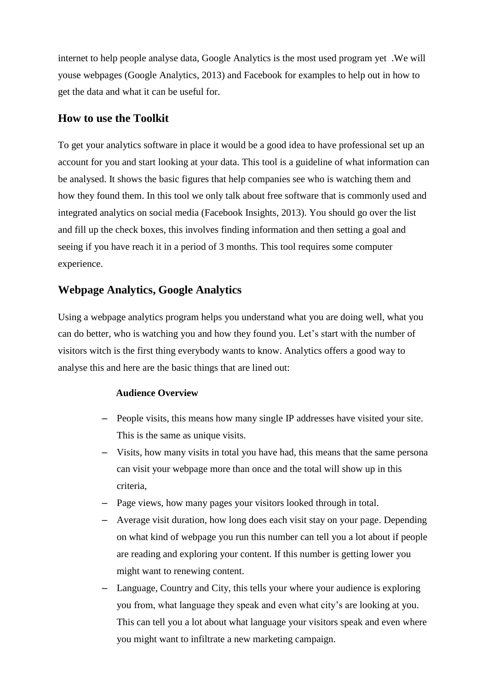internet to help people analyse data, Google Analytics is the most used program yet .We will youse webpages (Google Analytics, 2013) and Facebook for examples to help out in how to get the data and what it can be useful for.

### **How to use the Toolkit**

To get your analytics software in place it would be a good idea to have professional set up an account for you and start looking at your data. This tool is a guideline of what information can be analysed. It shows the basic figures that help companies see who is watching them and how they found them. In this tool we only talk about free software that is commonly used and integrated analytics on social media (Facebook Insights, 2013). You should go over the list and fill up the check boxes, this involves finding information and then setting a goal and seeing if you have reach it in a period of 3 months. This tool requires some computer experience.

## **Webpage Analytics, Google Analytics**

Using a webpage analytics program helps you understand what you are doing well, what you can do better, who is watching you and how they found you. Let's start with the number of visitors witch is the first thing everybody wants to know. Analytics offers a good way to analyse this and here are the basic things that are lined out:

#### **Audience Overview**

- People visits, this means how many single IP addresses have visited your site. This is the same as unique visits.
- Visits, how many visits in total you have had, this means that the same persona can visit your webpage more than once and the total will show up in this criteria,
- Page views, how many pages your visitors looked through in total.
- Average visit duration, how long does each visit stay on your page. Depending on what kind of webpage you run this number can tell you a lot about if people are reading and exploring your content. If this number is getting lower you might want to renewing content.
- Language, Country and City, this tells your where your audience is exploring you from, what language they speak and even what city's are looking at you. This can tell you a lot about what language your visitors speak and even where you might want to infiltrate a new marketing campaign.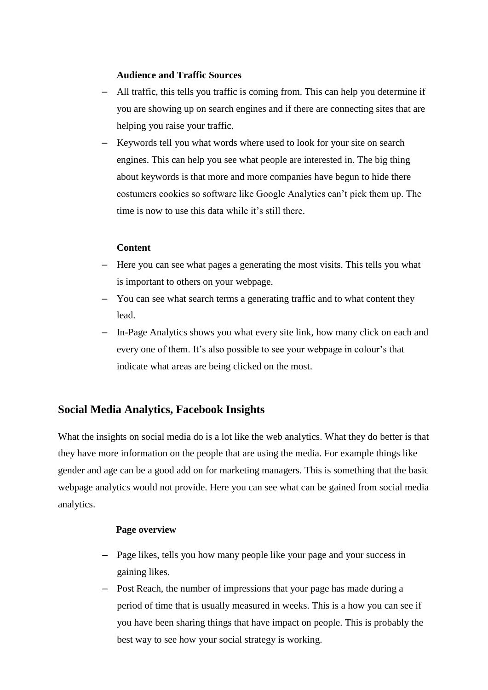#### **Audience and Traffic Sources**

- All traffic, this tells you traffic is coming from. This can help you determine if you are showing up on search engines and if there are connecting sites that are helping you raise your traffic.
- Keywords tell you what words where used to look for your site on search engines. This can help you see what people are interested in. The big thing about keywords is that more and more companies have begun to hide there costumers cookies so software like Google Analytics can't pick them up. The time is now to use this data while it's still there.

#### **Content**

- Here you can see what pages a generating the most visits. This tells you what is important to others on your webpage.
- You can see what search terms a generating traffic and to what content they lead.
- In-Page Analytics shows you what every site link, how many click on each and every one of them. It's also possible to see your webpage in colour's that indicate what areas are being clicked on the most.

### **Social Media Analytics, Facebook Insights**

What the insights on social media do is a lot like the web analytics. What they do better is that they have more information on the people that are using the media. For example things like gender and age can be a good add on for marketing managers. This is something that the basic webpage analytics would not provide. Here you can see what can be gained from social media analytics.

#### **Page overview**

- Page likes, tells you how many people like your page and your success in gaining likes.
- Post Reach, the number of impressions that your page has made during a period of time that is usually measured in weeks. This is a how you can see if you have been sharing things that have impact on people. This is probably the best way to see how your social strategy is working.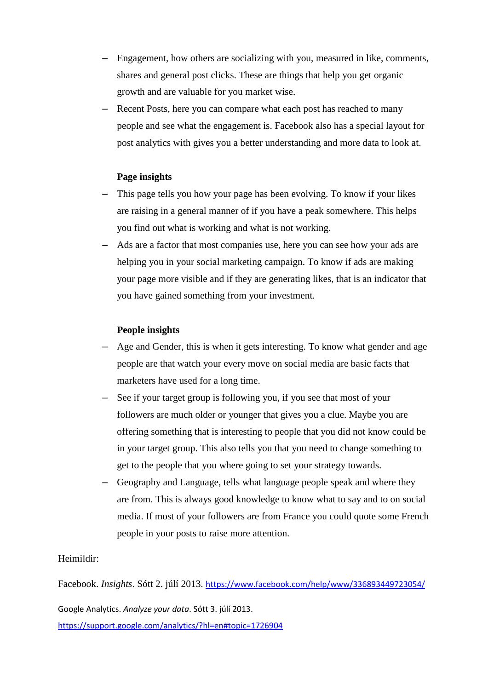- Engagement, how others are socializing with you, measured in like, comments, shares and general post clicks. These are things that help you get organic growth and are valuable for you market wise.
- Recent Posts, here you can compare what each post has reached to many people and see what the engagement is. Facebook also has a special layout for post analytics with gives you a better understanding and more data to look at.

#### **Page insights**

- This page tells you how your page has been evolving. To know if your likes are raising in a general manner of if you have a peak somewhere. This helps you find out what is working and what is not working.
- Ads are a factor that most companies use, here you can see how your ads are helping you in your social marketing campaign. To know if ads are making your page more visible and if they are generating likes, that is an indicator that you have gained something from your investment.

#### **People insights**

- Age and Gender, this is when it gets interesting. To know what gender and age people are that watch your every move on social media are basic facts that marketers have used for a long time.
- See if your target group is following you, if you see that most of your followers are much older or younger that gives you a clue. Maybe you are offering something that is interesting to people that you did not know could be in your target group. This also tells you that you need to change something to get to the people that you where going to set your strategy towards.
- Geography and Language, tells what language people speak and where they are from. This is always good knowledge to know what to say and to on social media. If most of your followers are from France you could quote some French people in your posts to raise more attention.

#### Heimildir:

Facebook. *Insights*. Sótt 2. júlí 2013. <https://www.facebook.com/help/www/336893449723054/>

Google Analytics. *Analyze your data*. Sótt 3. júlí 2013.

<https://support.google.com/analytics/?hl=en#topic=1726904>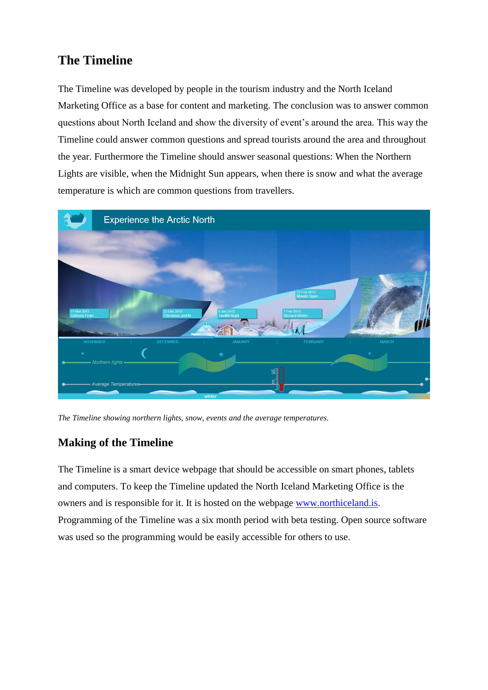# **The Timeline**

The Timeline was developed by people in the tourism industry and the North Iceland Marketing Office as a base for content and marketing. The conclusion was to answer common questions about North Iceland and show the diversity of event's around the area. This way the Timeline could answer common questions and spread tourists around the area and throughout the year. Furthermore the Timeline should answer seasonal questions: When the Northern Lights are visible, when the Midnight Sun appears, when there is snow and what the average temperature is which are common questions from travellers.



*The Timeline showing northern lights, snow, events and the average temperatures.*

# **Making of the Timeline**

The Timeline is a smart device webpage that should be accessible on smart phones, tablets and computers. To keep the Timeline updated the North Iceland Marketing Office is the owners and is responsible for it. It is hosted on the webpage [www.northiceland.is.](http://www.northiceland.is/) Programming of the Timeline was a six month period with beta testing. Open source software was used so the programming would be easily accessible for others to use.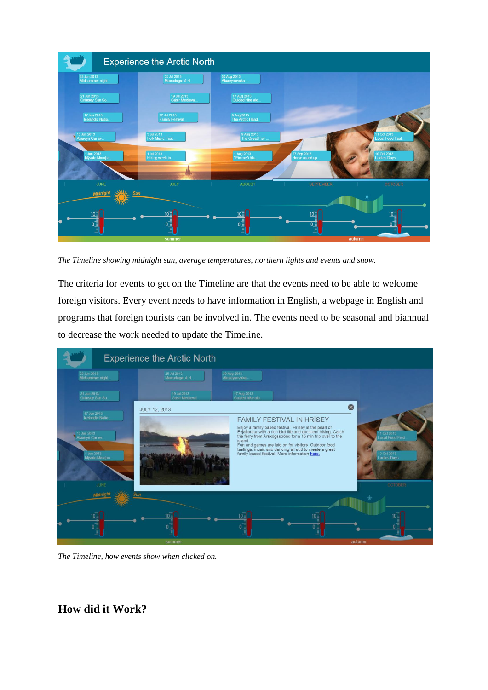

*The Timeline showing midnight sun, average temperatures, northern lights and events and snow.* 

The criteria for events to get on the Timeline are that the events need to be able to welcome foreign visitors. Every event needs to have information in English, a webpage in English and programs that foreign tourists can be involved in. The events need to be seasonal and biannual to decrease the work needed to update the Timeline.



*The Timeline, how events show when clicked on.*

**How did it Work?**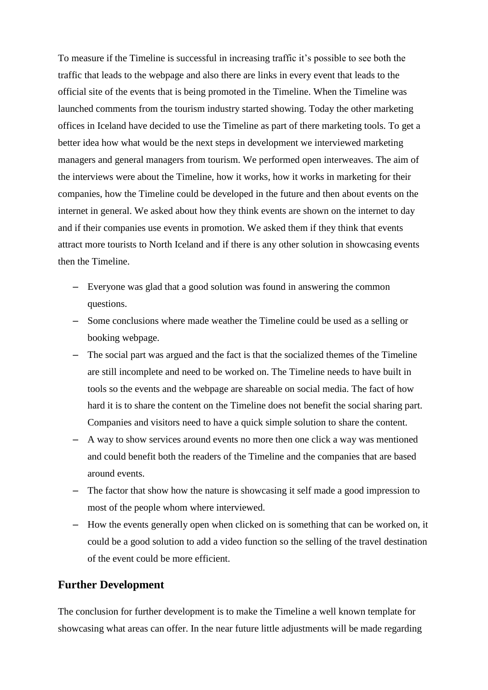To measure if the Timeline is successful in increasing traffic it's possible to see both the traffic that leads to the webpage and also there are links in every event that leads to the official site of the events that is being promoted in the Timeline. When the Timeline was launched comments from the tourism industry started showing. Today the other marketing offices in Iceland have decided to use the Timeline as part of there marketing tools. To get a better idea how what would be the next steps in development we interviewed marketing managers and general managers from tourism. We performed open interweaves. The aim of the interviews were about the Timeline, how it works, how it works in marketing for their companies, how the Timeline could be developed in the future and then about events on the internet in general. We asked about how they think events are shown on the internet to day and if their companies use events in promotion. We asked them if they think that events attract more tourists to North Iceland and if there is any other solution in showcasing events then the Timeline.

- Everyone was glad that a good solution was found in answering the common questions.
- Some conclusions where made weather the Timeline could be used as a selling or booking webpage.
- The social part was argued and the fact is that the socialized themes of the Timeline are still incomplete and need to be worked on. The Timeline needs to have built in tools so the events and the webpage are shareable on social media. The fact of how hard it is to share the content on the Timeline does not benefit the social sharing part. Companies and visitors need to have a quick simple solution to share the content.
- A way to show services around events no more then one click a way was mentioned and could benefit both the readers of the Timeline and the companies that are based around events.
- The factor that show how the nature is showcasing it self made a good impression to most of the people whom where interviewed.
- How the events generally open when clicked on is something that can be worked on, it could be a good solution to add a video function so the selling of the travel destination of the event could be more efficient.

#### **Further Development**

The conclusion for further development is to make the Timeline a well known template for showcasing what areas can offer. In the near future little adjustments will be made regarding